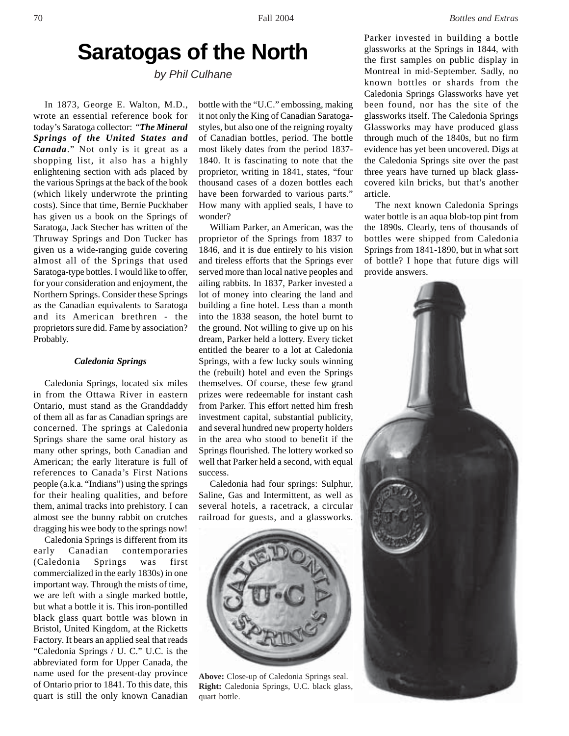# **Saratogas of the North**

*by Phil Culhane*

In 1873, George E. Walton, M.D., wrote an essential reference book for today's Saratoga collector: "*The Mineral Springs of the United States and Canada*." Not only is it great as a shopping list, it also has a highly enlightening section with ads placed by the various Springs at the back of the book (which likely underwrote the printing costs). Since that time, Bernie Puckhaber has given us a book on the Springs of Saratoga, Jack Stecher has written of the Thruway Springs and Don Tucker has given us a wide-ranging guide covering almost all of the Springs that used Saratoga-type bottles. I would like to offer, for your consideration and enjoyment, the Northern Springs. Consider these Springs as the Canadian equivalents to Saratoga and its American brethren - the proprietors sure did. Fame by association? Probably.

## *Caledonia Springs*

Caledonia Springs, located six miles in from the Ottawa River in eastern Ontario, must stand as the Granddaddy of them all as far as Canadian springs are concerned. The springs at Caledonia Springs share the same oral history as many other springs, both Canadian and American; the early literature is full of references to Canada's First Nations people (a.k.a. "Indians") using the springs for their healing qualities, and before them, animal tracks into prehistory. I can almost see the bunny rabbit on crutches dragging his wee body to the springs now!

Caledonia Springs is different from its early Canadian contemporaries (Caledonia Springs was first commercialized in the early 1830s) in one important way. Through the mists of time, we are left with a single marked bottle, but what a bottle it is. This iron-pontilled black glass quart bottle was blown in Bristol, United Kingdom, at the Ricketts Factory. It bears an applied seal that reads "Caledonia Springs / U. C." U.C. is the abbreviated form for Upper Canada, the name used for the present-day province of Ontario prior to 1841. To this date, this quart is still the only known Canadian

bottle with the "U.C." embossing, making it not only the King of Canadian Saratogastyles, but also one of the reigning royalty of Canadian bottles, period. The bottle most likely dates from the period 1837- 1840. It is fascinating to note that the proprietor, writing in 1841, states, "four thousand cases of a dozen bottles each have been forwarded to various parts." How many with applied seals, I have to wonder?

William Parker, an American, was the proprietor of the Springs from 1837 to 1846, and it is due entirely to his vision and tireless efforts that the Springs ever served more than local native peoples and ailing rabbits. In 1837, Parker invested a lot of money into clearing the land and building a fine hotel. Less than a month into the 1838 season, the hotel burnt to the ground. Not willing to give up on his dream, Parker held a lottery. Every ticket entitled the bearer to a lot at Caledonia Springs, with a few lucky souls winning the (rebuilt) hotel and even the Springs themselves. Of course, these few grand prizes were redeemable for instant cash from Parker. This effort netted him fresh investment capital, substantial publicity, and several hundred new property holders in the area who stood to benefit if the Springs flourished. The lottery worked so well that Parker held a second, with equal success.

Caledonia had four springs: Sulphur, Saline, Gas and Intermittent, as well as several hotels, a racetrack, a circular railroad for guests, and a glassworks.



**Above:** Close-up of Caledonia Springs seal. **Right:** Caledonia Springs, U.C. black glass, quart bottle.

Parker invested in building a bottle glassworks at the Springs in 1844, with the first samples on public display in Montreal in mid-September. Sadly, no known bottles or shards from the Caledonia Springs Glassworks have yet been found, nor has the site of the glassworks itself. The Caledonia Springs Glassworks may have produced glass through much of the 1840s, but no firm evidence has yet been uncovered. Digs at the Caledonia Springs site over the past three years have turned up black glasscovered kiln bricks, but that's another article.

The next known Caledonia Springs water bottle is an aqua blob-top pint from the 1890s. Clearly, tens of thousands of bottles were shipped from Caledonia Springs from 1841-1890, but in what sort of bottle? I hope that future digs will provide answers.

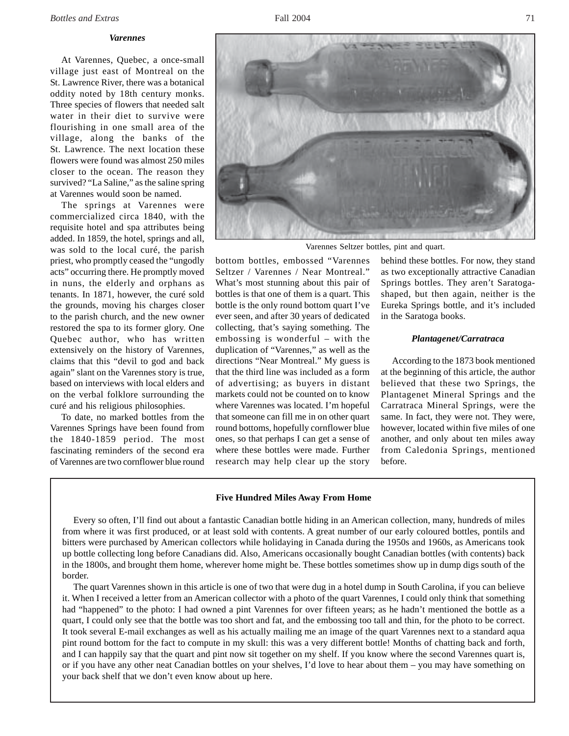#### *Varennes*

At Varennes, Quebec, a once-small village just east of Montreal on the St. Lawrence River, there was a botanical oddity noted by 18th century monks. Three species of flowers that needed salt water in their diet to survive were flourishing in one small area of the village, along the banks of the St. Lawrence. The next location these flowers were found was almost 250 miles closer to the ocean. The reason they survived? "La Saline," as the saline spring at Varennes would soon be named.

The springs at Varennes were commercialized circa 1840, with the requisite hotel and spa attributes being added. In 1859, the hotel, springs and all, was sold to the local curé, the parish priest, who promptly ceased the "ungodly acts" occurring there. He promptly moved in nuns, the elderly and orphans as tenants. In 1871, however, the curé sold the grounds, moving his charges closer to the parish church, and the new owner restored the spa to its former glory. One Quebec author, who has written extensively on the history of Varennes, claims that this "devil to god and back again" slant on the Varennes story is true, based on interviews with local elders and on the verbal folklore surrounding the curé and his religious philosophies.

To date, no marked bottles from the Varennes Springs have been found from the 1840-1859 period. The most fascinating reminders of the second era of Varennes are two cornflower blue round



Varennes Seltzer bottles, pint and quart.

bottom bottles, embossed "Varennes Seltzer / Varennes / Near Montreal." What's most stunning about this pair of bottles is that one of them is a quart. This bottle is the only round bottom quart I've ever seen, and after 30 years of dedicated collecting, that's saying something. The embossing is wonderful – with the duplication of "Varennes," as well as the directions "Near Montreal." My guess is that the third line was included as a form of advertising; as buyers in distant markets could not be counted on to know where Varennes was located. I'm hopeful that someone can fill me in on other quart round bottoms, hopefully cornflower blue ones, so that perhaps I can get a sense of where these bottles were made. Further research may help clear up the story

behind these bottles. For now, they stand as two exceptionally attractive Canadian Springs bottles. They aren't Saratogashaped, but then again, neither is the Eureka Springs bottle, and it's included in the Saratoga books.

## *Plantagenet/Carratraca*

According to the 1873 book mentioned at the beginning of this article, the author believed that these two Springs, the Plantagenet Mineral Springs and the Carratraca Mineral Springs, were the same. In fact, they were not. They were, however, located within five miles of one another, and only about ten miles away from Caledonia Springs, mentioned before.

## **Five Hundred Miles Away From Home**

Every so often, I'll find out about a fantastic Canadian bottle hiding in an American collection, many, hundreds of miles from where it was first produced, or at least sold with contents. A great number of our early coloured bottles, pontils and bitters were purchased by American collectors while holidaying in Canada during the 1950s and 1960s, as Americans took up bottle collecting long before Canadians did. Also, Americans occasionally bought Canadian bottles (with contents) back in the 1800s, and brought them home, wherever home might be. These bottles sometimes show up in dump digs south of the border.

The quart Varennes shown in this article is one of two that were dug in a hotel dump in South Carolina, if you can believe it. When I received a letter from an American collector with a photo of the quart Varennes, I could only think that something had "happened" to the photo: I had owned a pint Varennes for over fifteen years; as he hadn't mentioned the bottle as a quart, I could only see that the bottle was too short and fat, and the embossing too tall and thin, for the photo to be correct. It took several E-mail exchanges as well as his actually mailing me an image of the quart Varennes next to a standard aqua pint round bottom for the fact to compute in my skull: this was a very different bottle! Months of chatting back and forth, and I can happily say that the quart and pint now sit together on my shelf. If you know where the second Varennes quart is, or if you have any other neat Canadian bottles on your shelves, I'd love to hear about them – you may have something on your back shelf that we don't even know about up here.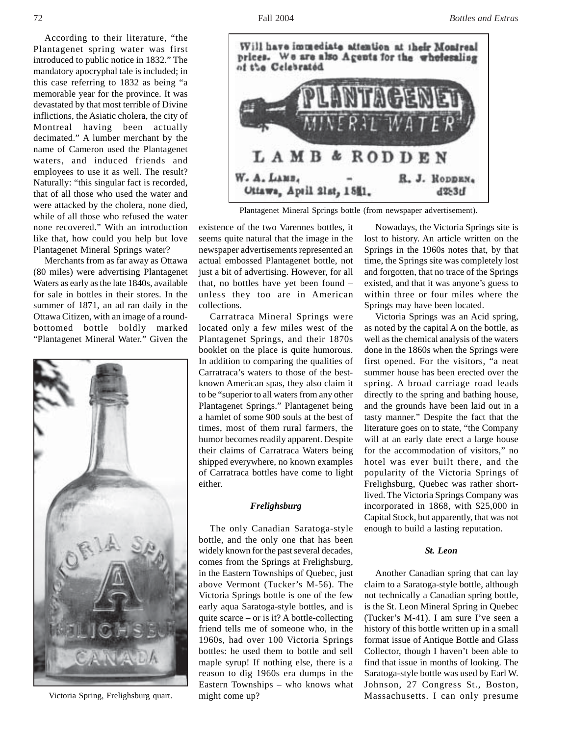According to their literature, "the Plantagenet spring water was first introduced to public notice in 1832." The mandatory apocryphal tale is included; in this case referring to 1832 as being "a memorable year for the province. It was devastated by that most terrible of Divine inflictions, the Asiatic cholera, the city of Montreal having been actually decimated." A lumber merchant by the name of Cameron used the Plantagenet waters, and induced friends and employees to use it as well. The result? Naturally: "this singular fact is recorded, that of all those who used the water and were attacked by the cholera, none died, while of all those who refused the water none recovered." With an introduction like that, how could you help but love Plantagenet Mineral Springs water?

Merchants from as far away as Ottawa (80 miles) were advertising Plantagenet Waters as early as the late 1840s, available for sale in bottles in their stores. In the summer of 1871, an ad ran daily in the Ottawa Citizen, with an image of a roundbottomed bottle boldly marked "Plantagenet Mineral Water." Given the



Victoria Spring, Frelighsburg quart.



Plantagenet Mineral Springs bottle (from newspaper advertisement).

existence of the two Varennes bottles, it seems quite natural that the image in the newspaper advertisements represented an actual embossed Plantagenet bottle, not just a bit of advertising. However, for all that, no bottles have yet been found – unless they too are in American collections.

Carratraca Mineral Springs were located only a few miles west of the Plantagenet Springs, and their 1870s booklet on the place is quite humorous. In addition to comparing the qualities of Carratraca's waters to those of the bestknown American spas, they also claim it to be "superior to all waters from any other Plantagenet Springs." Plantagenet being a hamlet of some 900 souls at the best of times, most of them rural farmers, the humor becomes readily apparent. Despite their claims of Carratraca Waters being shipped everywhere, no known examples of Carratraca bottles have come to light either.

# *Frelighsburg*

The only Canadian Saratoga-style bottle, and the only one that has been widely known for the past several decades, comes from the Springs at Frelighsburg, in the Eastern Townships of Quebec, just above Vermont (Tucker's M-56). The Victoria Springs bottle is one of the few early aqua Saratoga-style bottles, and is quite scarce – or is it? A bottle-collecting friend tells me of someone who, in the 1960s, had over 100 Victoria Springs bottles: he used them to bottle and sell maple syrup! If nothing else, there is a reason to dig 1960s era dumps in the Eastern Townships – who knows what might come up?

Nowadays, the Victoria Springs site is lost to history. An article written on the Springs in the 1960s notes that, by that time, the Springs site was completely lost and forgotten, that no trace of the Springs existed, and that it was anyone's guess to within three or four miles where the Springs may have been located.

Victoria Springs was an Acid spring, as noted by the capital A on the bottle, as well as the chemical analysis of the waters done in the 1860s when the Springs were first opened. For the visitors, "a neat summer house has been erected over the spring. A broad carriage road leads directly to the spring and bathing house, and the grounds have been laid out in a tasty manner." Despite the fact that the literature goes on to state, "the Company will at an early date erect a large house for the accommodation of visitors," no hotel was ever built there, and the popularity of the Victoria Springs of Frelighsburg, Quebec was rather shortlived. The Victoria Springs Company was incorporated in 1868, with \$25,000 in Capital Stock, but apparently, that was not enough to build a lasting reputation.

# *St. Leon*

Another Canadian spring that can lay claim to a Saratoga-style bottle, although not technically a Canadian spring bottle, is the St. Leon Mineral Spring in Quebec (Tucker's M-41). I am sure I've seen a history of this bottle written up in a small format issue of Antique Bottle and Glass Collector, though I haven't been able to find that issue in months of looking. The Saratoga-style bottle was used by Earl W. Johnson, 27 Congress St., Boston, Massachusetts. I can only presume